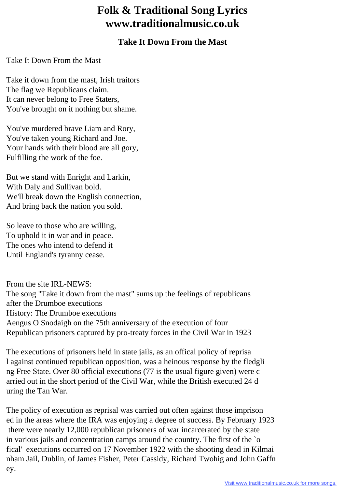## **Folk & Traditional Song Lyrics www.traditionalmusic.co.uk**

## **Take It Down From the Mast**

Take It Down From the Mast

Take it down from the mast, Irish traitors The flag we Republicans claim. It can never belong to Free Staters, You've brought on it nothing but shame.

You've murdered brave Liam and Rory, You've taken young Richard and Joe. Your hands with their blood are all gory, Fulfilling the work of the foe.

But we stand with Enright and Larkin, With Daly and Sullivan bold. We'll break down the English connection, And bring back the nation you sold.

So leave to those who are willing, To uphold it in war and in peace. The ones who intend to defend it Until England's tyranny cease.

From the site IRL-NEWS: The song "Take it down from the mast" sums up the feelings of republicans after the Drumboe executions History: The Drumboe executions Aengus O Snodaigh on the 75th anniversary of the execution of four Republican prisoners captured by pro-treaty forces in the Civil War in 1923

The executions of prisoners held in state jails, as an offical policy of reprisa l against continued republican opposition, was a heinous response by the fledgli ng Free State. Over 80 official executions (77 is the usual figure given) were c arried out in the short period of the Civil War, while the British executed 24 d uring the Tan War.

The policy of execution as reprisal was carried out often against those imprison ed in the areas where the IRA was enjoying a degree of success. By February 1923 there were nearly 12,000 republican prisoners of war incarcerated by the state in various jails and concentration camps around the country. The first of the `o fical' executions occurred on 17 November 1922 with the shooting dead in Kilmai nham Jail, Dublin, of James Fisher, Peter Cassidy, Richard Twohig and John Gaffn ey.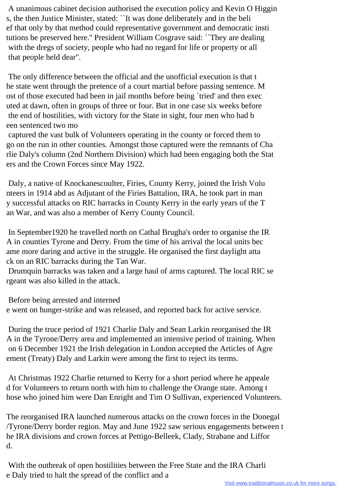A unanimous cabinet decision authorised the execution policy and Kevin O Higgin s, the then Justice Minister, stated: ``It was done deliberately and in the beli ef that only by that method could representative government and democratic insti tutions be preserved here.'' President William Cosgrave said: ``They are dealing with the dregs of society, people who had no regard for life or property or all that people held dear''.

 The only difference between the official and the unofficial execution is that t he state went through the pretence of a court martial before passing sentence. M ost of those executed had been in jail months before being `tried' and then exec uted at dawn, often in groups of three or four. But in one case six weeks before the end of hostilities, with victory for the State in sight, four men who had b een sentenced two mo

 captured the vast bulk of Volunteers operating in the county or forced them to go on the run in other counties. Amongst those captured were the remnants of Cha rlie Daly's column (2nd Northern Division) which had been engaging both the Stat ers and the Crown Forces since May 1922.

 Daly, a native of Knockanescoulter, Firies, County Kerry, joined the Irish Volu nteers in 1914 abd as Adjutant of the Firies Battalion, IRA, he took part in man y successful attacks on RIC barracks in County Kerry in the early years of the T an War, and was also a member of Kerry County Council.

 In September1920 he travelled north on Cathal Brugha's order to organise the IR A in counties Tyrone and Derry. From the time of his arrival the local units bec ame more daring and active in the struggle. He organised the first daylight atta ck on an RIC barracks during the Tan War.

 Drumquin barracks was taken and a large haul of arms captured. The local RIC se rgeant was also killed in the attack.

Before being arrested and interned

e went on hunger-strike and was released, and reported back for active service.

 During the truce period of 1921 Charlie Daly and Sean Larkin reorganised the IR A in the Tyrone/Derry area and implemented an intensive period of training. When on 6 December 1921 the Irish delegation in London accepted the Articles of Agre ement (Treaty) Daly and Larkin were among the first to reject its terms.

 At Christmas 1922 Charlie returned to Kerry for a short period where he appeale d for Volunteers to return north with him to challenge the Orange state. Among t hose who joined him were Dan Enright and Tim O Sullivan, experienced Volunteers.

The reorganised IRA launched numerous attacks on the crown forces in the Donegal /Tyrone/Derry border region. May and June 1922 saw serious engagements between t he IRA divisions and crown forces at Pettigo-Belleek, Clady, Strabane and Liffor d.

 With the outbreak of open hostilities between the Free State and the IRA Charli e Daly tried to halt the spread of the conflict and a